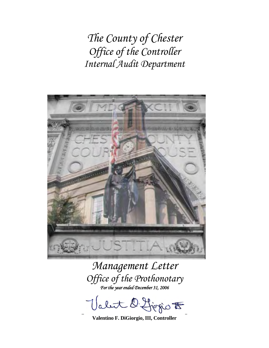*The County of Chester Office of the Controller Internal Audit Department* 



*Management Letter Office of the Prothonotary For the year ended December 31, 2006* 

abut D. Liggio F

**Valentino F. DiGiorgio, III, Controller**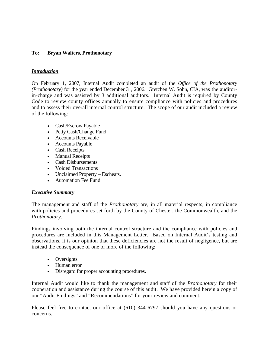# **To: Bryan Walters, Prothonotary**

## *Introduction*

On February 1, 2007, Internal Audit completed an audit of the *Office of the Prothonotary (Prothonotary)* for the year ended December 31, 2006. Gretchen W. Sohn, CIA, was the auditorin-charge and was assisted by 3 additional auditors. Internal Audit is required by County Code to review county offices annually to ensure compliance with policies and procedures and to assess their overall internal control structure. The scope of our audit included a review of the following:

- Cash/Escrow Payable
- Petty Cash/Change Fund
- Accounts Receivable
- Accounts Payable
- Cash Receipts
- Manual Receipts
- Cash Disbursements
- Voided Transactions
- Unclaimed Property Escheats.
- Automation Fee Fund

#### *Executive Summary*

The management and staff of the *Prothonotary* are, in all material respects, in compliance with policies and procedures set forth by the County of Chester, the Commonwealth, and the *Prothonotary*.

Findings involving both the internal control structure and the compliance with policies and procedures are included in this Management Letter. Based on Internal Audit's testing and observations, it is our opinion that these deficiencies are not the result of negligence, but are instead the consequence of one or more of the following:

- Oversights
- Human error
- Disregard for proper accounting procedures.

Internal Audit would like to thank the management and staff of the *Prothonotary* for their cooperation and assistance during the course of this audit. We have provided herein a copy of our "Audit Findings" and "Recommendations" for your review and comment.

Please feel free to contact our office at (610) 344-6797 should you have any questions or concerns.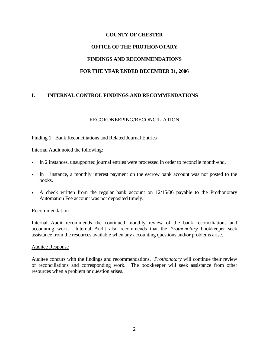# **COUNTY OF CHESTER OFFICE OF THE PROTHONOTARY FINDINGS AND RECOMMENDATIONS FOR THE YEAR ENDED DECEMBER 31, 2006**

# **I. INTERNAL CONTROL FINDINGS AND RECOMMENDATIONS**

#### RECORDKEEPING/RECONCILIATION

#### Finding 1: Bank Reconciliations and Related Journal Entries

Internal Audit noted the following:

- In 2 instances, unsupported journal entries were processed in order to reconcile month-end.
- In 1 instance, a monthly interest payment on the escrow bank account was not posted to the books.
- A check written from the regular bank account on 12/15/06 payable to the Prothonotary Automation Fee account was not deposited timely.

#### Recommendation

Internal Audit recommends the continued monthly review of the bank reconciliations and accounting work. Internal Audit also recommends that the *Prothonotary* bookkeeper seek assistance from the resources available when any accounting questions and/or problems arise.

#### Auditee Response

Auditee concurs with the findings and recommendations. *Prothonotary* will continue their review of reconciliations and corresponding work. The bookkeeper will seek assistance from other resources when a problem or question arises.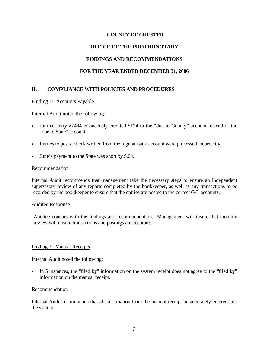## **OFFICE OF THE PROTHONOTARY**

## **FINDINGS AND RECOMMENDATIONS**

## **FOR THE YEAR ENDED DECEMBER 31, 2006**

## **II. COMPLIANCE WITH POLICIES AND PROCEDURES**

#### Finding 1: Accounts Payable

Internal Audit noted the following:

- Journal entry #7484 erroneously credited \$124 to the "due to County" account instead of the "due to State" account.
- Entries to post a check written from the regular bank account were processed incorrectly.
- June's payment to the State was short by \$.04.

#### Recommendation

Internal Audit recommends that management take the necessary steps to ensure an independent supervisory review of any reports completed by the bookkeeper, as well as any transactions to be recorded by the bookkeeper to ensure that the entries are posted to the correct G/L accounts.

#### Auditee Response

Auditee concurs with the findings and recommendation. Management will insure that monthly review will ensure transactions and postings are accurate.

#### Finding 2: Manual Receipts

Internal Audit noted the following:

• In 5 instances, the "filed by" information on the system receipt does not agree to the "filed by" information on the manual receipt.

#### Recommendation

Internal Audit recommends that all information from the manual receipt be accurately entered into the system.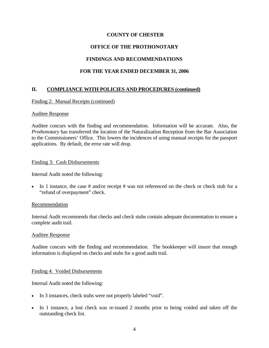# **OFFICE OF THE PROTHONOTARY**

# **FINDINGS AND RECOMMENDATIONS**

# **FOR THE YEAR ENDED DECEMBER 31, 2006**

# **II. COMPLIANCE WITH POLICIES AND PROCEDURES (continued)**

## Finding 2: Manual Receipts (continued)

#### Auditee Response

Auditee concurs with the finding and recommendation. Information will be accurate. Also, the *Prothonotary* has transferred the location of the Naturalization Reception from the Bar Association to the Commissioners' Office. This lowers the incidences of using manual receipts for the passport applications. By default, the error rate will drop.

#### Finding 3: Cash Disbursements

Internal Audit noted the following:

• In 1 instance, the case  $#$  and/or receipt  $#$  was not referenced on the check or check stub for a "refund of overpayment" check.

#### Recommendation

Internal Audit recommends that checks and check stubs contain adequate documentation to ensure a complete audit trail.

#### Auditee Response

Auditee concurs with the finding and recommendation. The bookkeeper will insure that enough information is displayed on checks and stubs for a good audit trail.

#### Finding 4: Voided Disbursements

Internal Audit noted the following:

- In 3 instances, check stubs were not properly labeled "void".
- In 1 instance, a lost check was re-issued 2 months prior to being voided and taken off the outstanding check list.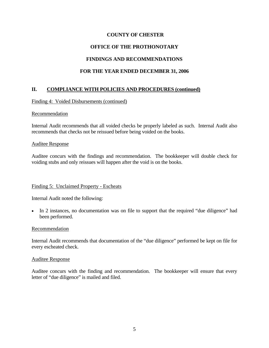# **OFFICE OF THE PROTHONOTARY**

# **FINDINGS AND RECOMMENDATIONS**

# **FOR THE YEAR ENDED DECEMBER 31, 2006**

# **II. COMPLIANCE WITH POLICIES AND PROCEDURES (continued)**

## Finding 4: Voided Disbursements (continued)

#### **Recommendation**

Internal Audit recommends that all voided checks be properly labeled as such. Internal Audit also recommends that checks not be reissued before being voided on the books.

#### Auditee Response

Auditee concurs with the findings and recommendation. The bookkeeper will double check for voiding stubs and only reissues will happen after the void is on the books.

#### Finding 5: Unclaimed Property - Escheats

Internal Audit noted the following:

• In 2 instances, no documentation was on file to support that the required "due diligence" had been performed.

#### Recommendation

Internal Audit recommends that documentation of the "due diligence" performed be kept on file for every escheated check.

#### Auditee Response

Auditee concurs with the finding and recommendation. The bookkeeper will ensure that every letter of "due diligence" is mailed and filed.